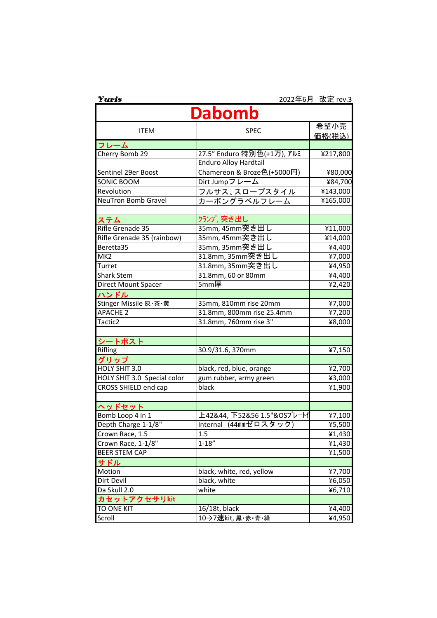| Yuris                       |                              | 2022年6月 改定 rev.3      |  |  |  |
|-----------------------------|------------------------------|-----------------------|--|--|--|
| Dabomb                      |                              |                       |  |  |  |
| <b>ITEM</b>                 | <b>SPEC</b>                  | 希望小売<br><u>価格(税込)</u> |  |  |  |
| フレーム                        |                              |                       |  |  |  |
| Cherry Bomb 29              | 27.5" Enduro 特別色(+1万), アルミ   | ¥217,800              |  |  |  |
|                             | <b>Enduro Alloy Hardtail</b> |                       |  |  |  |
| Sentinel 29er Boost         | Chamereon & Broze色(+5000円)   | ¥80,000               |  |  |  |
| SONIC BOOM                  | Dirt Jumpフレーム                | ¥84,700               |  |  |  |
| Revolution                  | <u>フルサス、スロープスタイル</u>         | ¥143,000              |  |  |  |
| <b>NeuTron Bomb Gravel</b>  | カーボングラ <u>ベルフレーム</u>         | ¥165,000              |  |  |  |
|                             |                              |                       |  |  |  |
| ステム                         | クランプ, 突き出し                   |                       |  |  |  |
| Rifle Grenade 35            | 35mm, 45mm突き出し               | ¥11,000               |  |  |  |
| Rifle Grenade 35 (rainbow)  | 35mm, 45mm突き出し               | ¥14,000               |  |  |  |
| Beretta35                   | 35mm, 35mm突き出し               | ¥4,400                |  |  |  |
| MK <sub>2</sub>             | 31.8mm, 35mm突き出し             | ¥7,000                |  |  |  |
| Turret                      | 31.8mm, 35mm突き出し             | ¥4,950                |  |  |  |
| <b>Shark Stem</b>           | 31.8mm, 60 or 80mm           | ¥4,400                |  |  |  |
| Direct Mount Spacer         | 5mm厚                         | ¥2,420                |  |  |  |
| ハンドル                        |                              |                       |  |  |  |
| Stinger Missile 灰·茶·黄       | 35mm, 810mm rise 20mm        | ¥7,000                |  |  |  |
| <b>APACHE 2</b>             | 31.8mm, 800mm rise 25.4mm    | ¥7,200                |  |  |  |
| Tactic2                     | 31.8mm, 760mm rise 3"        | ¥8,000                |  |  |  |
|                             |                              |                       |  |  |  |
| シートポスト                      |                              |                       |  |  |  |
| Rifling                     | 30.9/31.6, 370mm             | ¥7,150                |  |  |  |
| グリップ                        |                              |                       |  |  |  |
| HOLY SHIT 3.0               | black, red, blue, orange     | ¥2,700                |  |  |  |
| HOLY SHIT 3.0 Special color | gum rubber, army green       | ¥3,000                |  |  |  |
| CROSS SHIELD end cap        | black                        | ¥1,900                |  |  |  |
|                             |                              |                       |  |  |  |
| ヘッドセット                      |                              |                       |  |  |  |
| Bomb Loop 4 in 1            | 上42&44, 下52&56 1.5"&OSプレートイ  | ¥7,100                |  |  |  |
| Depth Charge 1-1/8"         | Internal (44mmゼロスタック)        | ¥5,500                |  |  |  |
| Crown Race, 1.5             | 1.5                          | ¥1,430                |  |  |  |
| Crown Race, 1-1/8"          | $1 - 18"$                    | ¥1,430                |  |  |  |
| <b>BEER STEM CAP</b>        |                              | ¥1,500                |  |  |  |
| サドル                         |                              |                       |  |  |  |
| Motion                      | black, white, red, yellow    | ¥7,700                |  |  |  |
| Dirt Devil                  | black, white                 | ¥6,050                |  |  |  |
| Da Skull 2.0                | white                        | ¥6,710                |  |  |  |
| カセットアクセサリkit                |                              |                       |  |  |  |
| <b>TO ONE KIT</b>           | 16/18t, black                | ¥4,400                |  |  |  |
| Scroll                      | 10→7速kit, 黒・赤・青・緑            | ¥4,950                |  |  |  |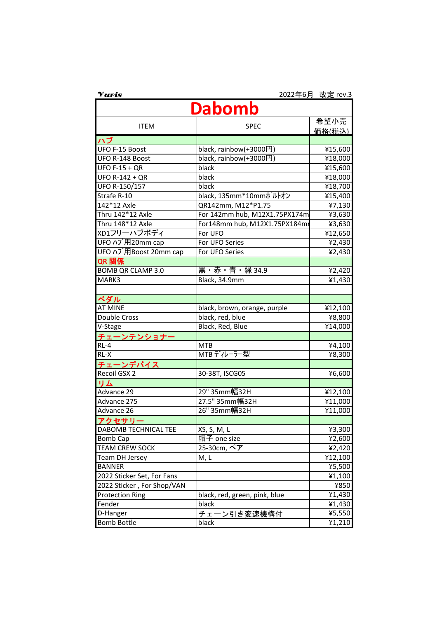| <b>Yuris</b>               |                               | 2022年6月 改定 rev.3 |  |  |  |
|----------------------------|-------------------------------|------------------|--|--|--|
| Dabomb                     |                               |                  |  |  |  |
| <b>ITEM</b>                | <b>SPEC</b>                   | 希望小売             |  |  |  |
|                            |                               | <u>価格(税込)</u>    |  |  |  |
| ハブ                         |                               |                  |  |  |  |
| UFO F-15 Boost             | black, rainbow(+3000円)        | ¥15,600          |  |  |  |
| UFO R-148 Boost            | black, rainbow(+3000円)        | ¥18,000          |  |  |  |
| <b>UFO F-15 + QR</b>       | black                         | ¥15,600          |  |  |  |
| <b>UFO R-142 + QR</b>      | black                         | ¥18,000          |  |  |  |
| UFO R-150/157              | black                         | ¥18,700          |  |  |  |
| Strafe R-10                | black, 135mm*10mmポルトオン        | ¥15,400          |  |  |  |
| 142*12 Axle                | QR142mm, M12*P1.75            | ¥7,130           |  |  |  |
| Thru 142*12 Axle           | For 142mm hub, M12X1.75PX174m | ¥3,630           |  |  |  |
| Thru 148*12 Axle           | For148mm hub, M12X1.75PX184mm | ¥3,630           |  |  |  |
| XD1フリーハブボディ                | For UFO                       | ¥12,650          |  |  |  |
| UFO ハブ用20mm cap            | For UFO Series                | ¥2,430           |  |  |  |
| UFO ハブ用Boost 20mm cap      | For UFO Series                | ¥2,430           |  |  |  |
| QR 関係                      |                               |                  |  |  |  |
| <b>BOMB QR CLAMP 3.0</b>   | 黒・赤・青・緑 34.9                  | ¥2,420           |  |  |  |
| MARK3                      | Black, 34.9mm                 | ¥1,430           |  |  |  |
|                            |                               |                  |  |  |  |
| ペダル                        |                               |                  |  |  |  |
| <b>AT MINE</b>             | black, brown, orange, purple  | ¥12,100          |  |  |  |
| Double Cross               | black, red, blue              | ¥8,800           |  |  |  |
| V-Stage                    | Black, Red, Blue              | ¥14,000          |  |  |  |
| <u> チェーンテンショナー</u>         |                               |                  |  |  |  |
| $RL-4$                     | <b>MTB</b>                    | ¥4,100           |  |  |  |
| $RL-X$                     | MTBディレーラー型                    | ¥8,300           |  |  |  |
| <u>チェーンデバイス</u>            |                               |                  |  |  |  |
| Recoil GSX 2               | 30-38T, ISCG05                | ¥6,600           |  |  |  |
| リム                         |                               |                  |  |  |  |
| Advance 29                 | 29" 35mm幅32H                  | ¥12,100          |  |  |  |
| Advance 275                | 27.5" 35mm幅32H                | ¥11,000          |  |  |  |
| Advance <sub>26</sub>      | 26" 35mm幅32H                  | ¥11,000          |  |  |  |
| アクセサリー                     |                               |                  |  |  |  |
| DABOMB TECHNICAL TEE       | XS, S, M, L                   | ¥3,300           |  |  |  |
| <b>Bomb Cap</b>            | 帽子 one size                   | ¥2,600           |  |  |  |
| <b>TEAM CREW SOCK</b>      | 25-30cm, ペア                   | ¥2,420           |  |  |  |
| Team DH Jersey             | M, L                          | ¥12,100          |  |  |  |
| <b>BANNER</b>              |                               | ¥5,500           |  |  |  |
| 2022 Sticker Set, For Fans |                               | ¥1,100           |  |  |  |
| 2022 Sticker, For Shop/VAN |                               | ¥850             |  |  |  |
| <b>Protection Ring</b>     | black, red, green, pink, blue | ¥1,430           |  |  |  |
| Fender                     | black                         | ¥1,430           |  |  |  |
| D-Hanger                   | チェーン引き変速機構付                   | ¥5,550           |  |  |  |
| <b>Bomb Bottle</b>         | black                         | ¥1,210           |  |  |  |